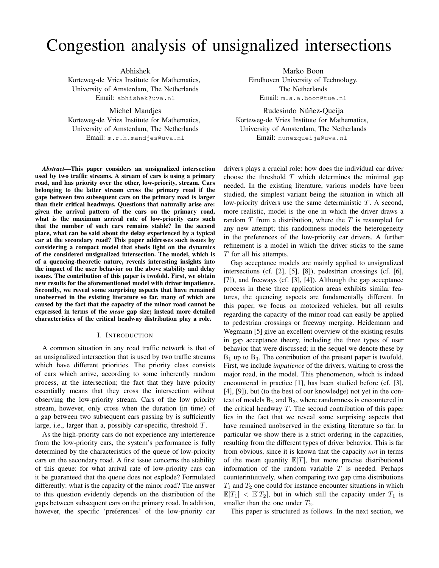# Congestion analysis of unsignalized intersections

Abhishek

Korteweg-de Vries Institute for Mathematics, University of Amsterdam, The Netherlands Email: abhishek@uva.nl

Michel Mandjes Korteweg-de Vries Institute for Mathematics, University of Amsterdam, The Netherlands Email: m.r.h.mandjes@uva.nl

*Abstract*—This paper considers an unsignalized intersection used by two traffic streams. A stream of cars is using a primary road, and has priority over the other, low-priority, stream. Cars belonging to the latter stream cross the primary road if the gaps between two subsequent cars on the primary road is larger than their critical headways. Questions that naturally arise are: given the arrival pattern of the cars on the primary road, what is the maximum arrival rate of low-priority cars such that the number of such cars remains stable? In the second place, what can be said about the delay experienced by a typical car at the secondary road? This paper addresses such issues by considering a compact model that sheds light on the dynamics of the considered unsignalized intersection. The model, which is of a queueing-theoretic nature, reveals interesting insights into the impact of the user behavior on the above stability and delay issues. The contribution of this paper is twofold. First, we obtain new results for the aforementioned model with driver impatience. Secondly, we reveal some surprising aspects that have remained unobserved in the existing literature so far, many of which are caused by the fact that the capacity of the minor road cannot be expressed in terms of the *mean* gap size; instead more detailed characteristics of the critical headway distribution play a role.

#### I. INTRODUCTION

A common situation in any road traffic network is that of an unsignalized intersection that is used by two traffic streams which have different priorities. The priority class consists of cars which arrive, according to some inherently random process, at the intersection; the fact that they have priority essentially means that they cross the intersection without observing the low-priority stream. Cars of the low priority stream, however, only cross when the duration (in time) of a gap between two subsequent cars passing by is sufficiently large, i.e., larger than a, possibly car-specific, threshold T.

As the high-priority cars do not experience any interference from the low-priority cars, the system's performance is fully determined by the characteristics of the queue of low-priority cars on the secondary road. A first issue concerns the stability of this queue: for what arrival rate of low-priority cars can it be guaranteed that the queue does not explode? Formulated differently: what is the capacity of the minor road? The answer to this question evidently depends on the distribution of the gaps between subsequent cars on the primary road. In addition, however, the specific 'preferences' of the low-priority car

Marko Boon Eindhoven University of Technology, The Netherlands Email: m.a.a.boon@tue.nl

Rudesindo Núñez-Queija Korteweg-de Vries Institute for Mathematics, University of Amsterdam, The Netherlands Email: nunezqueija@uva.nl

drivers plays a crucial role: how does the individual car driver choose the threshold  $T$  which determines the minimal gap needed. In the existing literature, various models have been studied, the simplest variant being the situation in which all low-priority drivers use the same deterministic  $T$ . A second, more realistic, model is the one in which the driver draws a random  $T$  from a distribution, where the  $T$  is resampled for any new attempt; this randomness models the heterogeneity in the preferences of the low-priority car drivers. A further refinement is a model in which the driver sticks to the same T for all his attempts.

Gap acceptance models are mainly applied to unsignalized intersections (cf. [2], [5], [8]), pedestrian crossings (cf. [6], [7]), and freeways (cf. [3], [4]). Although the gap acceptance process in these three application areas exhibits similar features, the queueing aspects are fundamentally different. In this paper, we focus on motorized vehicles, but all results regarding the capacity of the minor road can easily be applied to pedestrian crossings or freeway merging. Heidemann and Wegmann [5] give an excellent overview of the existing results in gap acceptance theory, including the three types of user behavior that were discussed; in the sequel we denote these by  $B_1$  up to  $B_3$ . The contribution of the present paper is twofold. First, we include *impatience* of the drivers, waiting to cross the major road, in the model. This phenomenon, which is indeed encountered in practice [1], has been studied before (cf. [3], [4], [9]), but (to the best of our knowledge) not yet in the context of models  $B_2$  and  $B_3$ , where randomness is encountered in the critical headway  $T$ . The second contribution of this paper lies in the fact that we reveal some surprising aspects that have remained unobserved in the existing literature so far. In particular we show there is a strict ordering in the capacities, resulting from the different types of driver behavior. This is far from obvious, since it is known that the capacity *not* in terms of the mean quantity  $\mathbb{E}[T]$ , but more precise distributional information of the random variable  $T$  is needed. Perhaps counterintuitively, when comparing two gap time distributions  $T_1$  and  $T_2$  one could for instance encounter situations in which  $\mathbb{E}[T_1] < \mathbb{E}[T_2]$ , but in which still the capacity under  $T_1$  is smaller than the one under  $T_2$ .

This paper is structured as follows. In the next section, we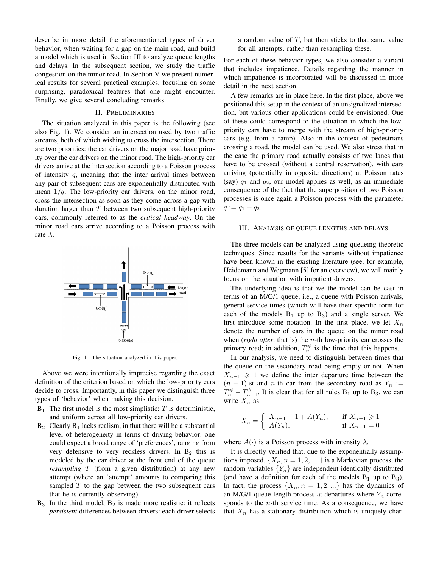describe in more detail the aforementioned types of driver behavior, when waiting for a gap on the main road, and build a model which is used in Section III to analyze queue lengths and delays. In the subsequent section, we study the traffic congestion on the minor road. In Section V we present numerical results for several practical examples, focusing on some surprising, paradoxical features that one might encounter. Finally, we give several concluding remarks.

# II. PRELIMINARIES

The situation analyzed in this paper is the following (see also Fig. 1). We consider an intersection used by two traffic streams, both of which wishing to cross the intersection. There are two priorities: the car drivers on the major road have priority over the car drivers on the minor road. The high-priority car drivers arrive at the intersection according to a Poisson process of intensity  $q$ , meaning that the inter arrival times between any pair of subsequent cars are exponentially distributed with mean  $1/q$ . The low-priority car drivers, on the minor road, cross the intersection as soon as they come across a gap with duration larger than  $T$  between two subsequent high-priority cars, commonly referred to as the *critical headway*. On the minor road cars arrive according to a Poisson process with rate  $\lambda$ .



Fig. 1. The situation analyzed in this paper.

Above we were intentionally imprecise regarding the exact definition of the criterion based on which the low-priority cars decide to cross. Importantly, in this paper we distinguish three types of 'behavior' when making this decision.

- $B_1$  The first model is the most simplistic: T is deterministic, and uniform across all low-priority car drivers.
- $B_2$  Clearly  $B_1$  lacks realism, in that there will be a substantial level of heterogeneity in terms of driving behavior: one could expect a broad range of 'preferences', ranging from very defensive to very reckless drivers. In  $B_2$  this is modeled by the car driver at the front end of the queue *resampling* T (from a given distribution) at any new attempt (where an 'attempt' amounts to comparing this sampled  $T$  to the gap between the two subsequent cars that he is currently observing).
- $B_3$  In the third model,  $B_2$  is made more realistic: it reflects *persistent* differences between drivers: each driver selects

a random value of  $T$ , but then sticks to that same value for all attempts, rather than resampling these.

For each of these behavior types, we also consider a variant that includes impatience. Details regarding the manner in which impatience is incorporated will be discussed in more detail in the next section.

A few remarks are in place here. In the first place, above we positioned this setup in the context of an unsignalized intersection, but various other applications could be envisioned. One of these could correspond to the situation in which the lowpriority cars have to merge with the stream of high-priority cars (e.g. from a ramp). Also in the context of pedestrians crossing a road, the model can be used. We also stress that in the case the primary road actually consists of two lanes that have to be crossed (without a central reservation), with cars arriving (potentially in opposite directions) at Poisson rates (say)  $q_1$  and  $q_2$ , our model applies as well, as an immediate consequence of the fact that the superposition of two Poisson processes is once again a Poisson process with the parameter  $q := q_1 + q_2.$ 

#### III. ANALYSIS OF QUEUE LENGTHS AND DELAYS

The three models can be analyzed using queueing-theoretic techniques. Since results for the variants without impatience have been known in the existing literature (see, for example, Heidemann and Wegmann [5] for an overview), we will mainly focus on the situation with impatient drivers.

The underlying idea is that we the model can be cast in terms of an M/G/1 queue, i.e., a queue with Poisson arrivals, general service times (which will have their specific form for each of the models  $B_1$  up to  $B_3$ ) and a single server. We first introduce some notation. In the first place, we let  $X_n$ denote the number of cars in the queue on the minor road when (*right after*, that is) the n-th low-priority car crosses the primary road; in addition,  $T_n^{\#}$  is the time that this happens.

In our analysis, we need to distinguish between times that the queue on the secondary road being empty or not. When  $X_{n-1} \geq 1$  we define the inter departure time between the  $(n - 1)$ -st and n-th car from the secondary road as  $Y_n :=$  $T_n^{\#} - T_{n-1}^{\#}$ . It is clear that for all rules  $B_1$  up to  $B_3$ , we can write  $X_n$  as

$$
X_n = \begin{cases} X_{n-1} - 1 + A(Y_n), & \text{if } X_{n-1} \ge 1 \\ A(Y_n), & \text{if } X_{n-1} = 0 \end{cases}
$$

where  $A(\cdot)$  is a Poisson process with intensity  $\lambda$ .

It is directly verified that, due to the exponentially assumptions imposed,  $\{X_n, n = 1, 2, \ldots\}$  is a Markovian process, the random variables  ${Y_n}$  are independent identically distributed (and have a definition for each of the models  $B_1$  up to  $B_3$ ). In fact, the process  $\{X_n, n = 1, 2, ...\}$  has the dynamics of an M/G/1 queue length process at departures where  $Y_n$  corresponds to the  $n$ -th service time. As a consequence, we have that  $X_n$  has a stationary distribution which is uniquely char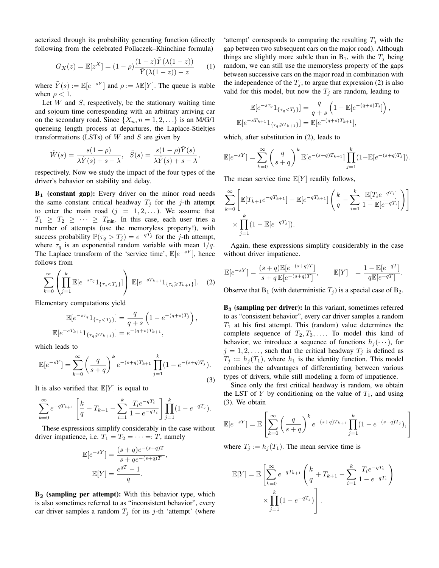acterized through its probability generating function (directly following from the celebrated Pollaczek–Khinchine formula)

$$
G_X(z) = \mathbb{E}[z^X] = (1 - \rho) \frac{(1 - z)\tilde{Y}(\lambda(1 - z))}{\tilde{Y}(\lambda(1 - z)) - z}
$$
 (1)

where  $\tilde{Y}(s) := \mathbb{E}[e^{-sY}]$  and  $\rho := \lambda \mathbb{E}[Y]$ . The queue is stable when  $\rho < 1$ .

Let  $W$  and  $S$ , respectively, be the stationary waiting time and sojourn time corresponding with an arbitrary arriving car on the secondary road. Since  $\{X_n, n = 1, 2, \ldots\}$  is an M/G/1 queueing length process at departures, the Laplace-Stieltjes transformations (LSTs) of  $W$  and  $S$  are given by

$$
\tilde{W}(s) = \frac{s(1-\rho)}{\lambda \tilde{Y}(s) + s - \lambda}, \quad \tilde{S}(s) = \frac{s(1-\rho)\tilde{Y}(s)}{\lambda \tilde{Y}(s) + s - \lambda},
$$

respectively. Now we study the impact of the four types of the driver's behavior on stability and delay.

 $B_1$  (constant gap): Every driver on the minor road needs the same constant critical headway  $T_j$  for the j-th attempt to enter the main road  $(j = 1, 2, ...)$ . We assume that  $T_1 \geq T_2 \geq \cdots \geq T_{\min}$ . In this case, each user tries a number of attempts (use the memoryless property!), with success probability  $\mathbb{P}(\tau_q > T_j) = e^{-q\vec{T}_j}$  for the j-th attempt, where  $\tau_q$  is an exponential random variable with mean  $1/q$ . The Laplace transform of the 'service time',  $\mathbb{E}[e^{-sY}]$ , hence follows from

$$
\sum_{k=0}^{\infty} \left( \prod_{j=1}^{k} \mathbb{E} \left[ e^{-s\tau_q} 1_{\{\tau_q < T_j\}} \right] \right) \mathbb{E} \left[ e^{-sT_{k+1}} 1_{\{\tau_q \ge T_{k+1}\}} \right]. \tag{2}
$$

Elementary computations yield

$$
\mathbb{E}[e^{-s\tau_q}\mathbf{1}_{\{\tau_q < T_j\}}] = \frac{q}{q+s} \left(1 - e^{-(q+s)T_j}\right),
$$
\n
$$
\mathbb{E}[e^{-sT_{k+1}}\mathbf{1}_{\{\tau_q \ge T_{k+1}\}}] = e^{-(q+s)T_{k+1}},
$$

which leads to

$$
\mathbb{E}[e^{-sY}] = \sum_{k=0}^{\infty} \left(\frac{q}{s+q}\right)^k e^{-(s+q)T_{k+1}} \prod_{j=1}^k (1 - e^{-(s+q)T_j}).
$$
\n(3)

It is also verified that  $\mathbb{E}[Y]$  is equal to

$$
\sum_{k=0}^{\infty} e^{-qT_{k+1}} \left[ \frac{k}{q} + T_{k+1} - \sum_{i=1}^{k} \frac{T_i e^{-qT_i}}{1 - e^{-qT_i}} \right] \prod_{j=1}^{k} (1 - e^{-qT_j}).
$$

These expressions simplify considerably in the case without driver impatience, i.e.  $T_1 = T_2 = \cdots =: T$ , namely

$$
\mathbb{E}[e^{-sY}] = \frac{(s+q)e^{-(s+q)T}}{s+qe^{-(s+q)T}},
$$

$$
\mathbb{E}[Y] = \frac{e^{qT}-1}{q}.
$$

 $B<sub>2</sub>$  (sampling per attempt): With this behavior type, which is also sometimes referred to as "inconsistent behavior", every car driver samples a random  $T_j$  for its j-th 'attempt' (where

'attempt' corresponds to comparing the resulting  $T_i$  with the gap between two subsequent cars on the major road). Although things are slightly more subtle than in  $B_1$ , with the  $T_i$  being random, we can still use the memoryless property of the gaps between successive cars on the major road in combination with the independence of the  $T_j$ , to argue that expression (2) is also valid for this model, but now the  $T_j$  are random, leading to

$$
\mathbb{E}[e^{-sT_q}1_{\{\tau_q < T_j\}}] = \frac{q}{q+s} \left(1 - \mathbb{E}[e^{-(q+s)T_j}]\right),
$$
\n
$$
\mathbb{E}[e^{-sT_{k+1}}1_{\{\tau_q \geq T_{k+1}\}}] = \mathbb{E}[e^{-(q+s)T_{k+1}}],
$$

which, after substitution in (2), leads to

$$
\mathbb{E}[e^{-sY}] = \sum_{k=0}^{\infty} \left(\frac{q}{s+q}\right)^k \mathbb{E}[e^{-(s+q)T_{k+1}}] \prod_{j=1}^k (1-\mathbb{E}[e^{-(s+q)T_j}]).
$$

The mean service time  $\mathbb{E}[Y]$  readily follows,

$$
\sum_{k=0}^{\infty} \left[ \mathbb{E}[T_{k+1}e^{-qT_{k+1}}] + \mathbb{E}[e^{-qT_{k+1}}] \left( \frac{k}{q} - \sum_{i=1}^{k} \frac{\mathbb{E}[T_i e^{-qT_i}]}{1 - \mathbb{E}[e^{-qT_i}]} \right) \right]
$$
  
 
$$
\times \prod_{j=1}^{k} (1 - \mathbb{E}[e^{-qT_j}]).
$$

Again, these expressions simplify considerably in the case without driver impatience.

$$
\mathbb{E}[e^{-sY}] = \frac{(s+q)\mathbb{E}[e^{-(s+q)T}]}{s+q\,\mathbb{E}[e^{-(s+q)T}]}, \qquad \mathbb{E}[Y] \quad = \frac{1-\mathbb{E}[e^{-qT}]}{q\mathbb{E}[e^{-qT}]}.
$$

Observe that  $B_1$  (with deterministic  $T_j$ ) is a special case of  $B_2$ .

**B<sub>3</sub>** (sampling per driver): In this variant, sometimes referred to as "consistent behavior", every car driver samples a random  $T_1$  at his first attempt. This (random) value determines the complete sequence of  $T_2, T_3, \ldots$ . To model this kind of behavior, we introduce a sequence of functions  $h_i(\cdots)$ , for  $j = 1, 2, \dots$ , such that the critical headway  $T_j$  is defined as  $T_j := h_j(T_1)$ , where  $h_1$  is the identity function. This model combines the advantages of differentiating between various types of drivers, while still modeling a form of impatience.

Since only the first critical headway is random, we obtain the LST of Y by conditioning on the value of  $T_1$ , and using (3). We obtain

$$
\mathbb{E}[e^{-sY}] = \mathbb{E}\left[\sum_{k=0}^{\infty} \left(\frac{q}{s+q}\right)^k e^{-(s+q)T_{k+1}} \prod_{j=1}^k (1 - e^{-(s+q)T_j}),\right]
$$

where  $T_i := h_i(T_1)$ . The mean service time is

$$
\mathbb{E}[Y] = \mathbb{E}\left[\sum_{k=0}^{\infty} e^{-qT_{k+1}} \left(\frac{k}{q} + T_{k+1} - \sum_{i=1}^{k} \frac{T_i e^{-qT_i}}{1 - e^{-qT_i}}\right) \times \prod_{j=1}^{k} (1 - e^{-qT_j})\right].
$$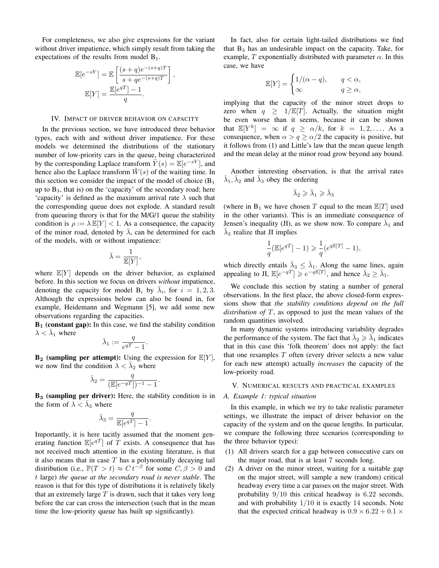For completeness, we also give expressions for the variant without driver impatience, which simply result from taking the expectations of the results from model  $B_1$ .

$$
\mathbb{E}[e^{-sY}] = \mathbb{E}\left[\frac{(s+q)e^{-(s+q)T}}{s+qe^{-(s+q)T}}\right],
$$

$$
\mathbb{E}[Y] = \frac{\mathbb{E}[e^{qT}] - 1}{q}.
$$

### IV. IMPACT OF DRIVER BEHAVIOR ON CAPACITY

In the previous section, we have introduced three behavior types, each with and without driver impatience. For these models we determined the distributions of the stationary number of low-priority cars in the queue, being characterized by the corresponding Laplace transform  $\tilde{Y}(s) = \mathbb{E}[e^{-sY}]$ , and hence also the Laplace transform  $W(s)$  of the waiting time. In this section we consider the impact of the model of choice  $(B_1)$ up to  $B_3$ , that is) on the 'capacity' of the secondary road; here 'capacity' is defined as the maximum arrival rate  $\lambda$  such that the corresponding queue does not explode. A standard result from queueing theory is that for the M/G/1 queue the stability condition is  $\rho := \lambda \mathbb{E}[Y] < 1$ . As a consequence, the capacity of the minor road, denoted by  $\overline{\lambda}$ , can be determined for each of the models, with or without impatience:

$$
\bar{\lambda} = \frac{1}{\mathbb{E}[Y]},
$$

where  $\mathbb{E}[Y]$  depends on the driver behavior, as explained before. In this section we focus on drivers *without* impatience, denoting the capacity for model B<sub>i</sub> by  $\bar{\lambda}_i$ , for  $i = 1, 2, 3$ . Although the expressions below can also be found in, for example, Heidemann and Wegmann [5], we add some new observations regarding the capacities.

 $B_1$  (constant gap): In this case, we find the stability condition  $\lambda < \bar{\lambda}_1$  where

$$
\bar{\lambda}_1 := \frac{q}{e^{qT} - 1}.
$$

 $\mathbf{B}_2$  (sampling per attempt): Using the expression for  $\mathbb{E}[Y]$ , we now find the condition  $\lambda < \overline{\lambda}_2$  where

$$
\bar{\lambda}_2 = \frac{q}{(\mathbb{E}[e^{-qT}])^{-1} - 1}.
$$

 $B<sub>3</sub>$  (sampling per driver): Here, the stability condition is in the form of  $\lambda < \bar{\lambda}_3$  where

$$
\bar{\lambda}_3 = \frac{q}{\mathbb{E}[e^{qT}] - 1}.
$$

Importantly, it is here tacitly assumed that the moment generating function  $\mathbb{E}[e^{qT}]$  of T exists. A consequence that has not received much attention in the existing literature, is that it also means that in case  $T$  has a polynomially decaying tail distribution (i.e.,  $\mathbb{P}(T > t) \approx C t^{-\beta}$  for some  $C, \beta > 0$  and t large) *the queue at the secondary road is never stable*. The reason is that for this type of distributions it is relatively likely that an extremely large  $T$  is drawn, such that it takes very long before the car can cross the intersection (such that in the mean time the low-priority queue has built up significantly).

In fact, also for certain light-tailed distributions we find that  $B_3$  has an undesirable impact on the capacity. Take, for example, T exponentially distributed with parameter  $\alpha$ . In this case, we have

$$
\mathbb{E}[Y] = \begin{cases} 1/(\alpha - q), & q < \alpha, \\ \infty & q \ge \alpha, \end{cases}
$$

implying that the capacity of the minor street drops to zero when  $q > 1/\mathbb{E}[T]$ . Actually, the situation might be even worse than it seems, because it can be shown that  $\mathbb{E}[Y^k] = \infty$  if  $q \ge \alpha/k$ , for  $k = 1, 2, \dots$ . As a consequence, when  $\alpha > q \ge \alpha/2$  the capacity is positive, but it follows from (1) and Little's law that the mean queue length and the mean delay at the minor road grow beyond any bound.

Another interesting observation, is that the arrival rates  $\bar{\lambda}_1$ ,  $\bar{\lambda}_2$  and  $\bar{\lambda}_3$  obey the ordering

$$
\bar{\lambda}_2\geqslant\bar{\lambda}_1\geqslant\bar{\lambda}_3
$$

(where in B<sub>1</sub> we have chosen T equal to the mean  $\mathbb{E}[T]$  used in the other variants). This is an immediate consequence of Jensen's inequality (JI), as we show now. To compare  $\bar{\lambda}_1$  and  $\bar{\lambda}_3$  realize that JI implies

$$
\frac{1}{q}(\mathbb{E}[e^{qT}]-1) \geqslant \frac{1}{q}(e^{q\mathbb{E}[T]}-1),
$$

which directly entails  $\bar{\lambda}_3 \leq \bar{\lambda}_1$ . Along the same lines, again appealing to JI,  $\mathbb{E}[e^{-qT}] \geqslant e^{-q\mathbb{E}[T]}$ , and hence  $\bar{\lambda}_2 \geq \bar{\lambda}_1$ .

We conclude this section by stating a number of general observations. In the first place, the above closed-form expressions show that *the stability conditions depend on the full distribution of* T, as opposed to just the mean values of the random quantities involved.

In many dynamic systems introducing variability degrades the performance of the system. The fact that  $\bar{\lambda}_2 \geqslant \bar{\lambda}_1$  indicates that in this case this 'folk theorem' does not apply: the fact that one resamples  $T$  often (every driver selects a new value for each new attempt) actually *increases* the capacity of the low-priority road.

# V. NUMERICAL RESULTS AND PRACTICAL EXAMPLES

#### *A. Example 1: typical situation*

In this example, in which we try to take realistic parameter settings, we illustrate the impact of driver behavior on the capacity of the system and on the queue lengths. In particular, we compare the following three scenarios (corresponding to the three behavior types):

- (1) All drivers search for a gap between consecutive cars on the major road, that is at least 7 seconds long.
- (2) A driver on the minor street, waiting for a suitable gap on the major street, will sample a new (random) critical headway every time a car passes on the major street. With probability 9/10 this critical headway is 6.22 seconds, and with probability 1/10 it is exactly 14 seconds. Note that the expected critical headway is  $0.9 \times 6.22 + 0.1 \times$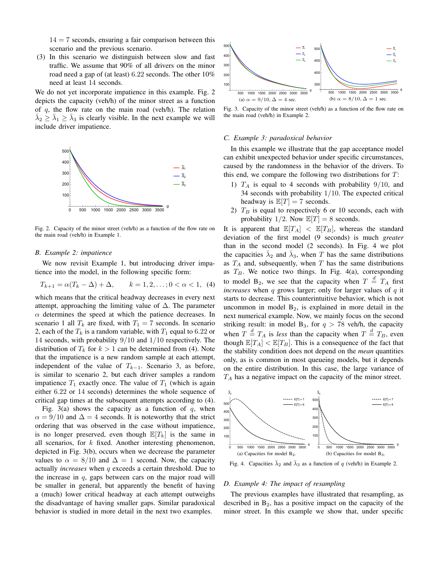$14 = 7$  seconds, ensuring a fair comparison between this scenario and the previous scenario.

(3) In this scenario we distinguish between slow and fast traffic. We assume that 90% of all drivers on the minor road need a gap of (at least) 6.22 seconds. The other 10% need at least 14 seconds.

We do not yet incorporate impatience in this example. Fig. 2 depicts the capacity (veh/h) of the minor street as a function of  $q$ , the flow rate on the main road (veh/h). The relation  $\bar{\lambda}_2 \geq \bar{\lambda}_1 \geq \bar{\lambda}_3$  is clearly visible. In the next example we will include driver impatience.



Fig. 2. Capacity of the minor street (veh/h) as a function of the flow rate on the main road (veh/h) in Example 1.

#### *B. Example 2: impatience*

We now revisit Example 1, but introducing driver impatience into the model, in the following specific form:

$$
T_{k+1} = \alpha (T_k - \Delta) + \Delta, \qquad k = 1, 2, \dots; 0 < \alpha < 1, \tag{4}
$$

which means that the critical headway decreases in every next attempt, approaching the limiting value of  $\Delta$ . The parameter  $\alpha$  determines the speed at which the patience decreases. In scenario 1 all  $T_k$  are fixed, with  $T_1 = 7$  seconds. In scenario 2, each of the  $T_k$  is a random variable, with  $T_1$  equal to 6.22 or 14 seconds, with probability  $9/10$  and  $1/10$  respectively. The distribution of  $T_k$  for  $k > 1$  can be determined from (4). Note that the impatience is a new random sample at each attempt, independent of the value of  $T_{k-1}$ . Scenario 3, as before, is similar to scenario 2, but each driver samples a random impatience  $T_1$  exactly once. The value of  $T_1$  (which is again either 6.22 or 14 seconds) determines the whole sequence of critical gap times at the subsequent attempts according to (4).

Fig. 3(a) shows the capacity as a function of  $q$ , when  $\alpha = 9/10$  and  $\Delta = 4$  seconds. It is noteworthy that the strict ordering that was observed in the case without impatience, is no longer preserved, even though  $\mathbb{E}[T_k]$  is the same in all scenarios, for  $k$  fixed. Another interesting phenomenon, depicted in Fig. 3(b), occurs when we decrease the parameter values to  $\alpha = 8/10$  and  $\Delta = 1$  second. Now, the capacity actually *increases* when q exceeds a certain threshold. Due to the increase in  $q$ , gaps between cars on the major road will be smaller in general, but apparently the benefit of having a (much) lower critical headway at each attempt outweighs the disadvantage of having smaller gaps. Similar paradoxical behavior is studied in more detail in the next two examples.



Fig. 3. Capacity of the minor street (veh/h) as a function of the flow rate on the main road (veh/h) in Example 2.

# *C. Example 3: paradoxical behavior*

In this example we illustrate that the gap acceptance model can exhibit unexpected behavior under specific circumstances, caused by the randomness in the behavior of the drivers. To this end, we compare the following two distributions for  $T$ :

- 1)  $T_A$  is equal to 4 seconds with probability  $9/10$ , and 34 seconds with probability  $1/10$ . The expected critical headway is  $\mathbb{E}[T] = 7$  seconds.
- 2)  $T_B$  is equal to respectively 6 or 10 seconds, each with probability 1/2. Now  $\mathbb{E}[T] = 8$  seconds.

It is apparent that  $\mathbb{E}[T_A] < \mathbb{E}[T_B]$ , whereas the standard deviation of the first model (9 seconds) is much *greater* than in the second model (2 seconds). In Fig. 4 we plot the capacities  $\bar{\lambda}_2$  and  $\bar{\lambda}_3$ , when T has the same distributions as  $T_A$  and, subsequently, when  $T$  has the same distributions as  $T_B$ . We notice two things. In Fig. 4(a), corresponding to model B<sub>2</sub>, we see that the capacity when  $T \stackrel{d}{=} T_A$  first  $increases$  when  $q$  grows larger; only for larger values of  $q$  it starts to decrease. This counterintuitive behavior, which is not uncommon in model  $B_2$ , is explained in more detail in the next numerical example. Now, we mainly focus on the second striking result: in model  $B_3$ , for  $q > 78$  veh/h, the capacity when  $T \stackrel{d}{=} T_A$  is *less* than the capacity when  $T \stackrel{d}{=} T_B$ , even though  $\mathbb{E}[T_A] < \mathbb{E}[T_B]$ . This is a consequence of the fact that the stability condition does not depend on the *mean* quantities only, as is common in most queueing models, but it depends on the entire distribution. In this case, the large variance of  $T_A$  has a negative impact on the capacity of the minor street.



Fig. 4. Capacities  $\bar{\lambda}_2$  and  $\bar{\lambda}_3$  as a function of q (veh/h) in Example 2.

#### *D. Example 4: The impact of resampling*

The previous examples have illustrated that resampling, as described in  $B_2$ , has a positive impact on the capacity of the minor street. In this example we show that, under specific